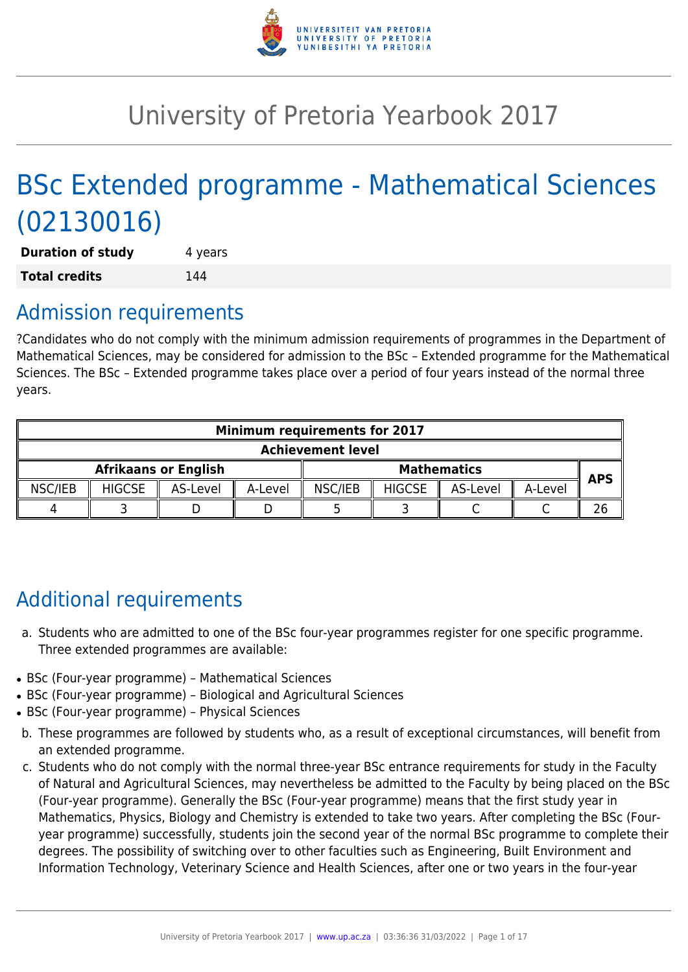

# University of Pretoria Yearbook 2017

# BSc Extended programme - Mathematical Sciences (02130016)

**Duration of study** 4 years **Total credits** 144

# Admission requirements

?Candidates who do not comply with the minimum admission requirements of programmes in the Department of Mathematical Sciences, may be considered for admission to the BSc – Extended programme for the Mathematical Sciences. The BSc – Extended programme takes place over a period of four years instead of the normal three years.

| <b>Minimum requirements for 2017</b> |               |          |                    |         |               |            |         |  |
|--------------------------------------|---------------|----------|--------------------|---------|---------------|------------|---------|--|
| <b>Achievement level</b>             |               |          |                    |         |               |            |         |  |
| <b>Afrikaans or English</b>          |               |          | <b>Mathematics</b> |         |               | <b>APS</b> |         |  |
| NSC/IEB                              | <b>HIGCSE</b> | AS-Level | A-Level            | NSC/IEB | <b>HIGCSE</b> | AS-Level   | A-Level |  |
|                                      |               |          |                    |         |               |            |         |  |

# Additional requirements

- a. Students who are admitted to one of the BSc four-year programmes register for one specific programme. Three extended programmes are available:
- BSc (Four-year programme) Mathematical Sciences
- BSc (Four-year programme) Biological and Agricultural Sciences
- BSc (Four-year programme) Physical Sciences
- b. These programmes are followed by students who, as a result of exceptional circumstances, will benefit from an extended programme.
- c. Students who do not comply with the normal three-year BSc entrance requirements for study in the Faculty of Natural and Agricultural Sciences, may nevertheless be admitted to the Faculty by being placed on the BSc (Four-year programme). Generally the BSc (Four-year programme) means that the first study year in Mathematics, Physics, Biology and Chemistry is extended to take two years. After completing the BSc (Fouryear programme) successfully, students join the second year of the normal BSc programme to complete their degrees. The possibility of switching over to other faculties such as Engineering, Built Environment and Information Technology, Veterinary Science and Health Sciences, after one or two years in the four-year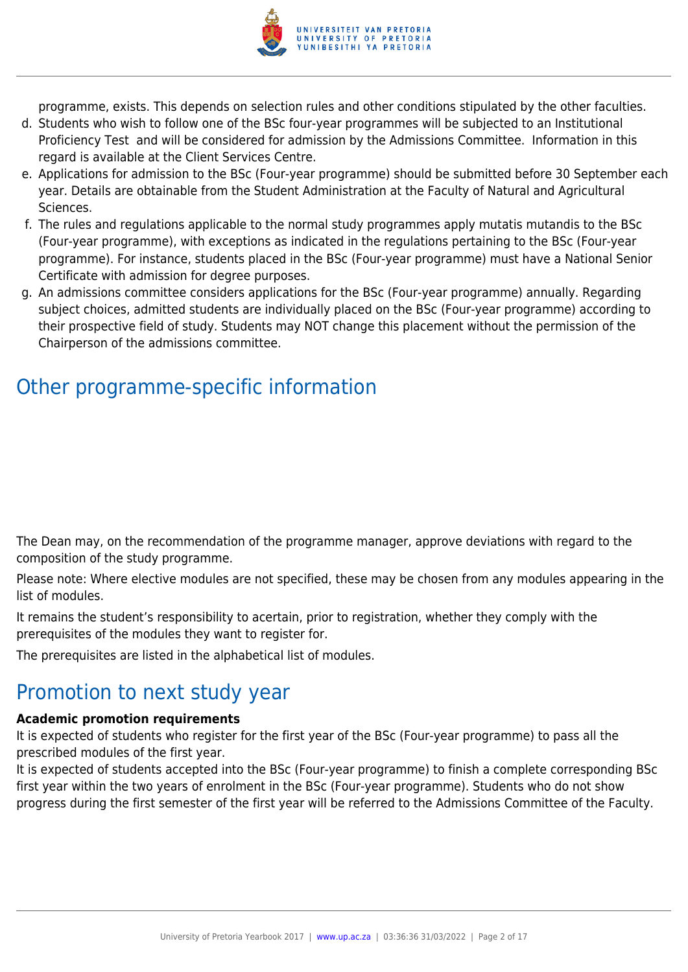

programme, exists. This depends on selection rules and other conditions stipulated by the other faculties.

- d. Students who wish to follow one of the BSc four-year programmes will be subjected to an Institutional Proficiency Test and will be considered for admission by the Admissions Committee. Information in this regard is available at the Client Services Centre.
- e. Applications for admission to the BSc (Four-year programme) should be submitted before 30 September each year. Details are obtainable from the Student Administration at the Faculty of Natural and Agricultural Sciences.
- f. The rules and regulations applicable to the normal study programmes apply mutatis mutandis to the BSc (Four-year programme), with exceptions as indicated in the regulations pertaining to the BSc (Four-year programme). For instance, students placed in the BSc (Four-year programme) must have a National Senior Certificate with admission for degree purposes.
- g. An admissions committee considers applications for the BSc (Four-year programme) annually. Regarding subject choices, admitted students are individually placed on the BSc (Four-year programme) according to their prospective field of study. Students may NOT change this placement without the permission of the Chairperson of the admissions committee.

# Other programme-specific information

The Dean may, on the recommendation of the programme manager, approve deviations with regard to the composition of the study programme.

Please note: Where elective modules are not specified, these may be chosen from any modules appearing in the list of modules.

It remains the student's responsibility to acertain, prior to registration, whether they comply with the prerequisites of the modules they want to register for.

The prerequisites are listed in the alphabetical list of modules.

# Promotion to next study year

#### **Academic promotion requirements**

It is expected of students who register for the first year of the BSc (Four-year programme) to pass all the prescribed modules of the first year.

It is expected of students accepted into the BSc (Four-year programme) to finish a complete corresponding BSc first year within the two years of enrolment in the BSc (Four-year programme). Students who do not show progress during the first semester of the first year will be referred to the Admissions Committee of the Faculty.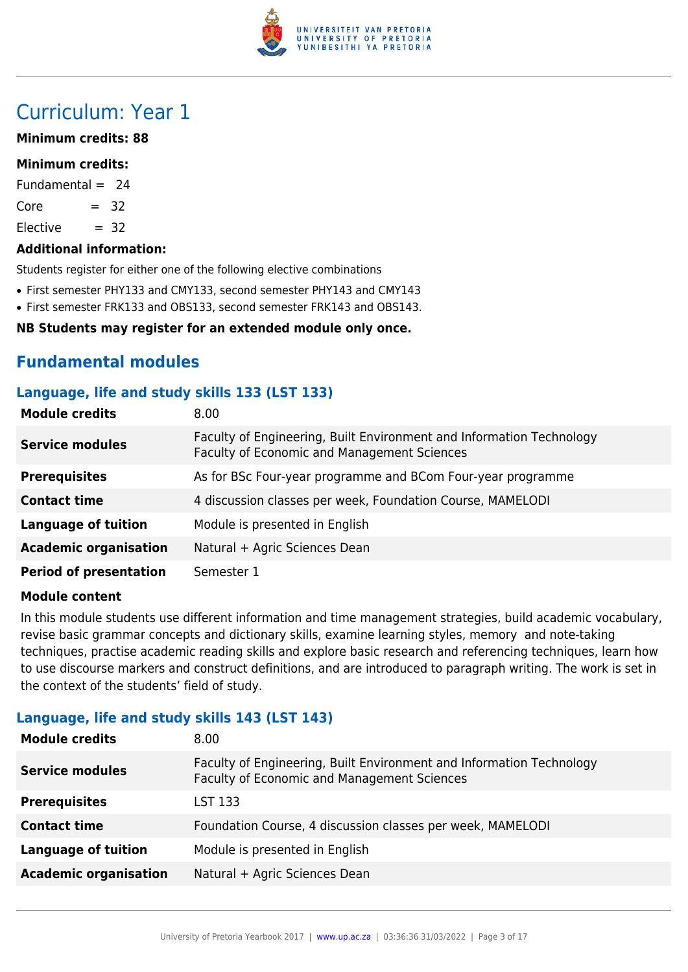

# Curriculum: Year 1

#### **Minimum credits: 88**

#### **Minimum credits:**

Fundamental  $= 24$ 

 $Core = 32$ 

 $Electric = 32$ 

#### **Additional information:**

Students register for either one of the following elective combinations

- First semester PHY133 and CMY133, second semester PHY143 and CMY143
- First semester FRK133 and OBS133, second semester FRK143 and OBS143.

#### **NB Students may register for an extended module only once.**

# **Fundamental modules**

#### **Language, life and study skills 133 (LST 133)**

| <b>Module credits</b>         | 8.00                                                                                                                |
|-------------------------------|---------------------------------------------------------------------------------------------------------------------|
| <b>Service modules</b>        | Faculty of Engineering, Built Environment and Information Technology<br>Faculty of Economic and Management Sciences |
| <b>Prerequisites</b>          | As for BSc Four-year programme and BCom Four-year programme                                                         |
| <b>Contact time</b>           | 4 discussion classes per week, Foundation Course, MAMELODI                                                          |
| <b>Language of tuition</b>    | Module is presented in English                                                                                      |
| <b>Academic organisation</b>  | Natural + Agric Sciences Dean                                                                                       |
| <b>Period of presentation</b> | Semester 1                                                                                                          |

#### **Module content**

In this module students use different information and time management strategies, build academic vocabulary, revise basic grammar concepts and dictionary skills, examine learning styles, memory and note-taking techniques, practise academic reading skills and explore basic research and referencing techniques, learn how to use discourse markers and construct definitions, and are introduced to paragraph writing. The work is set in the context of the students' field of study.

#### **Language, life and study skills 143 (LST 143)**

| <b>Module credits</b>        | 8.00                                                                                                                |
|------------------------------|---------------------------------------------------------------------------------------------------------------------|
| <b>Service modules</b>       | Faculty of Engineering, Built Environment and Information Technology<br>Faculty of Economic and Management Sciences |
| <b>Prerequisites</b>         | LST 133                                                                                                             |
| <b>Contact time</b>          | Foundation Course, 4 discussion classes per week, MAMELODI                                                          |
| <b>Language of tuition</b>   | Module is presented in English                                                                                      |
| <b>Academic organisation</b> | Natural + Agric Sciences Dean                                                                                       |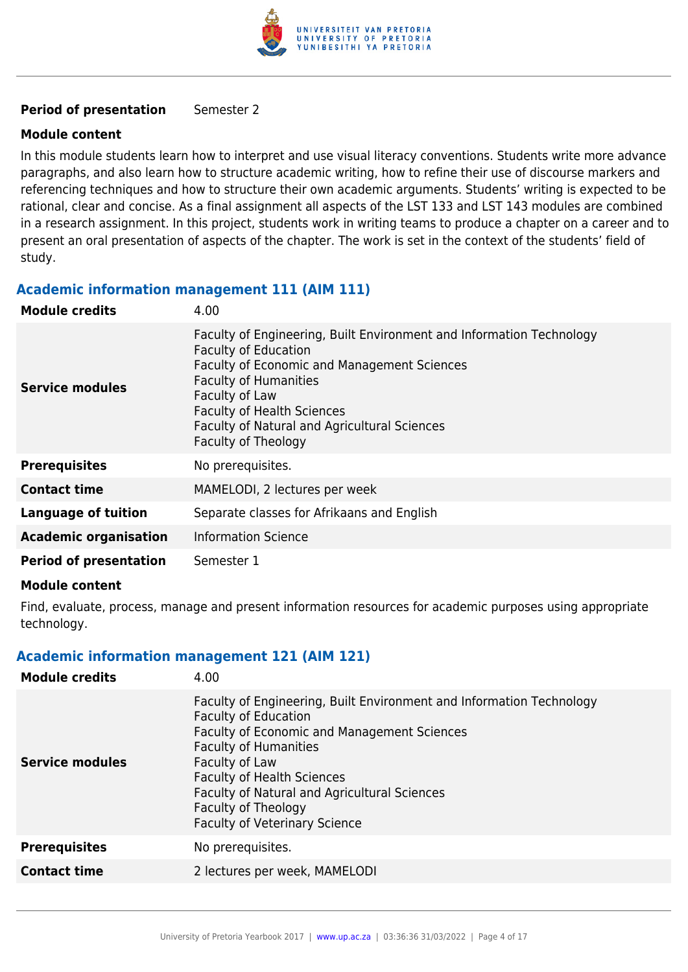

#### **Period of presentation** Semester 2

#### **Module content**

In this module students learn how to interpret and use visual literacy conventions. Students write more advance paragraphs, and also learn how to structure academic writing, how to refine their use of discourse markers and referencing techniques and how to structure their own academic arguments. Students' writing is expected to be rational, clear and concise. As a final assignment all aspects of the LST 133 and LST 143 modules are combined in a research assignment. In this project, students work in writing teams to produce a chapter on a career and to present an oral presentation of aspects of the chapter. The work is set in the context of the students' field of study.

#### **Academic information management 111 (AIM 111)**

| <b>Module credits</b>         | 4.00                                                                                                                                                                                                                                                                                                                    |
|-------------------------------|-------------------------------------------------------------------------------------------------------------------------------------------------------------------------------------------------------------------------------------------------------------------------------------------------------------------------|
| Service modules               | Faculty of Engineering, Built Environment and Information Technology<br><b>Faculty of Education</b><br><b>Faculty of Economic and Management Sciences</b><br><b>Faculty of Humanities</b><br>Faculty of Law<br><b>Faculty of Health Sciences</b><br>Faculty of Natural and Agricultural Sciences<br>Faculty of Theology |
| <b>Prerequisites</b>          | No prerequisites.                                                                                                                                                                                                                                                                                                       |
| <b>Contact time</b>           | MAMELODI, 2 lectures per week                                                                                                                                                                                                                                                                                           |
| <b>Language of tuition</b>    | Separate classes for Afrikaans and English                                                                                                                                                                                                                                                                              |
| <b>Academic organisation</b>  | <b>Information Science</b>                                                                                                                                                                                                                                                                                              |
| <b>Period of presentation</b> | Semester 1                                                                                                                                                                                                                                                                                                              |

#### **Module content**

Find, evaluate, process, manage and present information resources for academic purposes using appropriate technology.

#### **Academic information management 121 (AIM 121)**

| <b>Module credits</b>  | 4.00                                                                                                                                                                                                                                                                                                                                                            |
|------------------------|-----------------------------------------------------------------------------------------------------------------------------------------------------------------------------------------------------------------------------------------------------------------------------------------------------------------------------------------------------------------|
| <b>Service modules</b> | Faculty of Engineering, Built Environment and Information Technology<br><b>Faculty of Education</b><br><b>Faculty of Economic and Management Sciences</b><br><b>Faculty of Humanities</b><br>Faculty of Law<br><b>Faculty of Health Sciences</b><br>Faculty of Natural and Agricultural Sciences<br>Faculty of Theology<br><b>Faculty of Veterinary Science</b> |
| <b>Prerequisites</b>   | No prerequisites.                                                                                                                                                                                                                                                                                                                                               |
| <b>Contact time</b>    | 2 lectures per week, MAMELODI                                                                                                                                                                                                                                                                                                                                   |
|                        |                                                                                                                                                                                                                                                                                                                                                                 |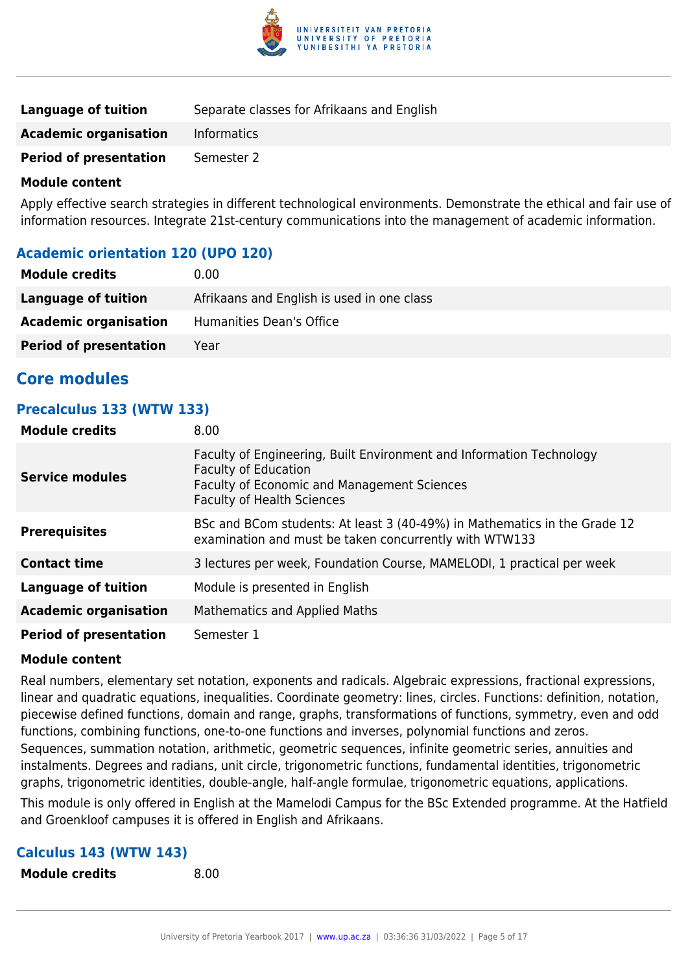

| <b>Language of tuition</b>    | Separate classes for Afrikaans and English |
|-------------------------------|--------------------------------------------|
| <b>Academic organisation</b>  | <b>Informatics</b>                         |
| <b>Period of presentation</b> | Semester 2                                 |

Apply effective search strategies in different technological environments. Demonstrate the ethical and fair use of information resources. Integrate 21st-century communications into the management of academic information.

### **Academic orientation 120 (UPO 120)**

| <b>Module credits</b>         | 0.00                                       |
|-------------------------------|--------------------------------------------|
| Language of tuition           | Afrikaans and English is used in one class |
| <b>Academic organisation</b>  | Humanities Dean's Office                   |
| <b>Period of presentation</b> | Year                                       |

# **Core modules**

### **Precalculus 133 (WTW 133)**

| <b>Module credits</b>         | 8.00                                                                                                                                                                                    |
|-------------------------------|-----------------------------------------------------------------------------------------------------------------------------------------------------------------------------------------|
| <b>Service modules</b>        | Faculty of Engineering, Built Environment and Information Technology<br><b>Faculty of Education</b><br>Faculty of Economic and Management Sciences<br><b>Faculty of Health Sciences</b> |
| <b>Prerequisites</b>          | BSc and BCom students: At least 3 (40-49%) in Mathematics in the Grade 12<br>examination and must be taken concurrently with WTW133                                                     |
| <b>Contact time</b>           | 3 lectures per week, Foundation Course, MAMELODI, 1 practical per week                                                                                                                  |
| <b>Language of tuition</b>    | Module is presented in English                                                                                                                                                          |
| <b>Academic organisation</b>  | Mathematics and Applied Maths                                                                                                                                                           |
| <b>Period of presentation</b> | Semester 1                                                                                                                                                                              |

#### **Module content**

Real numbers, elementary set notation, exponents and radicals. Algebraic expressions, fractional expressions, linear and quadratic equations, inequalities. Coordinate geometry: lines, circles. Functions: definition, notation, piecewise defined functions, domain and range, graphs, transformations of functions, symmetry, even and odd functions, combining functions, one-to-one functions and inverses, polynomial functions and zeros. Sequences, summation notation, arithmetic, geometric sequences, infinite geometric series, annuities and instalments. Degrees and radians, unit circle, trigonometric functions, fundamental identities, trigonometric graphs, trigonometric identities, double-angle, half-angle formulae, trigonometric equations, applications.

This module is only offered in English at the Mamelodi Campus for the BSc Extended programme. At the Hatfield and Groenkloof campuses it is offered in English and Afrikaans.

#### **Calculus 143 (WTW 143)**

**Module credits** 8.00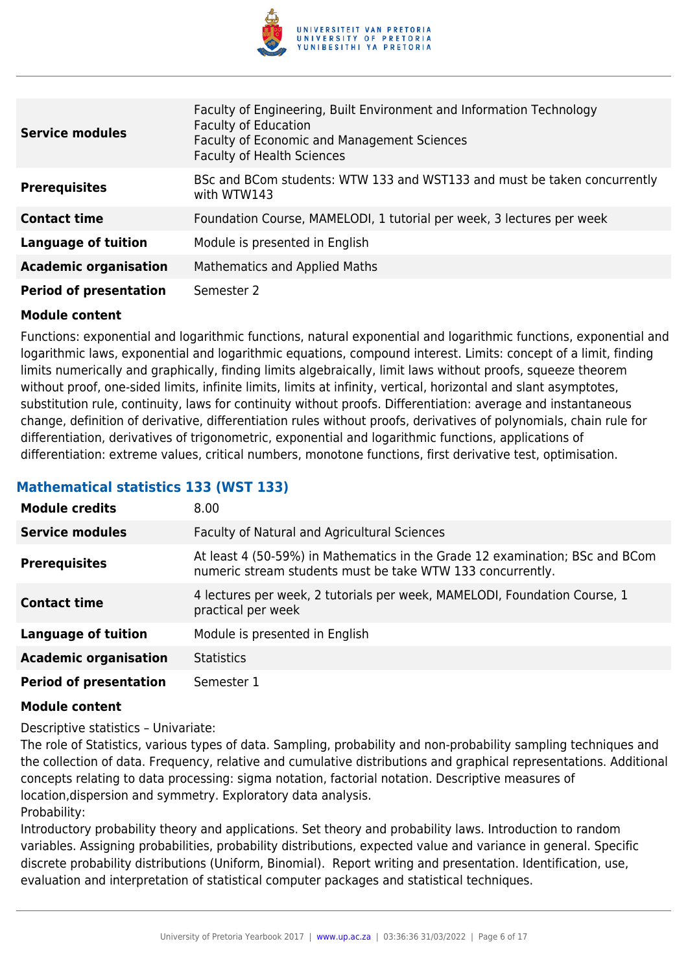

| <b>Service modules</b>        | Faculty of Engineering, Built Environment and Information Technology<br><b>Faculty of Education</b><br><b>Faculty of Economic and Management Sciences</b><br><b>Faculty of Health Sciences</b> |
|-------------------------------|------------------------------------------------------------------------------------------------------------------------------------------------------------------------------------------------|
| <b>Prerequisites</b>          | BSc and BCom students: WTW 133 and WST133 and must be taken concurrently<br>with WTW143                                                                                                        |
| <b>Contact time</b>           | Foundation Course, MAMELODI, 1 tutorial per week, 3 lectures per week                                                                                                                          |
| <b>Language of tuition</b>    | Module is presented in English                                                                                                                                                                 |
| <b>Academic organisation</b>  | <b>Mathematics and Applied Maths</b>                                                                                                                                                           |
| <b>Period of presentation</b> | Semester 2                                                                                                                                                                                     |

Functions: exponential and logarithmic functions, natural exponential and logarithmic functions, exponential and logarithmic laws, exponential and logarithmic equations, compound interest. Limits: concept of a limit, finding limits numerically and graphically, finding limits algebraically, limit laws without proofs, squeeze theorem without proof, one-sided limits, infinite limits, limits at infinity, vertical, horizontal and slant asymptotes, substitution rule, continuity, laws for continuity without proofs. Differentiation: average and instantaneous change, definition of derivative, differentiation rules without proofs, derivatives of polynomials, chain rule for differentiation, derivatives of trigonometric, exponential and logarithmic functions, applications of differentiation: extreme values, critical numbers, monotone functions, first derivative test, optimisation.

# **Mathematical statistics 133 (WST 133)**

| <b>Module credits</b>         | 8.00                                                                                                                                       |
|-------------------------------|--------------------------------------------------------------------------------------------------------------------------------------------|
| <b>Service modules</b>        | <b>Faculty of Natural and Agricultural Sciences</b>                                                                                        |
| <b>Prerequisites</b>          | At least 4 (50-59%) in Mathematics in the Grade 12 examination; BSc and BCom<br>numeric stream students must be take WTW 133 concurrently. |
| <b>Contact time</b>           | 4 lectures per week, 2 tutorials per week, MAMELODI, Foundation Course, 1<br>practical per week                                            |
| <b>Language of tuition</b>    | Module is presented in English                                                                                                             |
| <b>Academic organisation</b>  | <b>Statistics</b>                                                                                                                          |
| <b>Period of presentation</b> | Semester 1                                                                                                                                 |

#### **Module content**

Descriptive statistics – Univariate:

The role of Statistics, various types of data. Sampling, probability and non-probability sampling techniques and the collection of data. Frequency, relative and cumulative distributions and graphical representations. Additional concepts relating to data processing: sigma notation, factorial notation. Descriptive measures of location,dispersion and symmetry. Exploratory data analysis. Probability:

Introductory probability theory and applications. Set theory and probability laws. Introduction to random variables. Assigning probabilities, probability distributions, expected value and variance in general. Specific discrete probability distributions (Uniform, Binomial). Report writing and presentation. Identification, use, evaluation and interpretation of statistical computer packages and statistical techniques.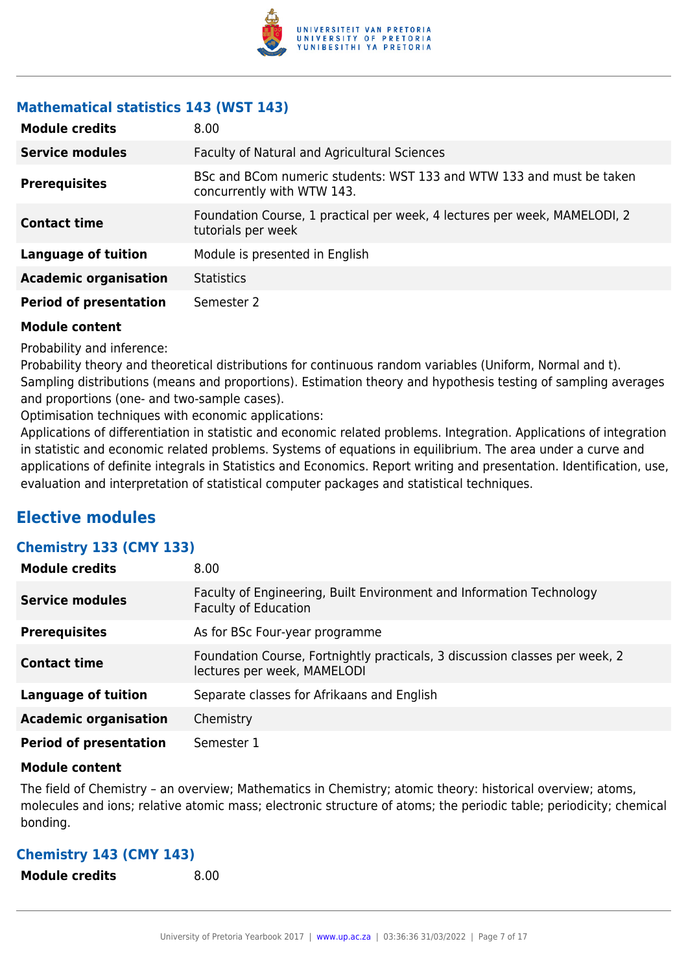

# **Mathematical statistics 143 (WST 143)**

| <b>Module credits</b>         | 8.00                                                                                               |
|-------------------------------|----------------------------------------------------------------------------------------------------|
| <b>Service modules</b>        | Faculty of Natural and Agricultural Sciences                                                       |
| <b>Prerequisites</b>          | BSc and BCom numeric students: WST 133 and WTW 133 and must be taken<br>concurrently with WTW 143. |
| <b>Contact time</b>           | Foundation Course, 1 practical per week, 4 lectures per week, MAMELODI, 2<br>tutorials per week    |
| <b>Language of tuition</b>    | Module is presented in English                                                                     |
| <b>Academic organisation</b>  | <b>Statistics</b>                                                                                  |
| <b>Period of presentation</b> | Semester 2                                                                                         |

#### **Module content**

Probability and inference:

Probability theory and theoretical distributions for continuous random variables (Uniform, Normal and t). Sampling distributions (means and proportions). Estimation theory and hypothesis testing of sampling averages and proportions (one- and two-sample cases).

Optimisation techniques with economic applications:

Applications of differentiation in statistic and economic related problems. Integration. Applications of integration in statistic and economic related problems. Systems of equations in equilibrium. The area under a curve and applications of definite integrals in Statistics and Economics. Report writing and presentation. Identification, use, evaluation and interpretation of statistical computer packages and statistical techniques.

# **Elective modules**

# **Chemistry 133 (CMY 133)**

| <b>Module credits</b>         | 8.00                                                                                                       |
|-------------------------------|------------------------------------------------------------------------------------------------------------|
| <b>Service modules</b>        | Faculty of Engineering, Built Environment and Information Technology<br><b>Faculty of Education</b>        |
| <b>Prerequisites</b>          | As for BSc Four-year programme                                                                             |
| <b>Contact time</b>           | Foundation Course, Fortnightly practicals, 3 discussion classes per week, 2<br>lectures per week, MAMELODI |
| Language of tuition           | Separate classes for Afrikaans and English                                                                 |
| <b>Academic organisation</b>  | Chemistry                                                                                                  |
| <b>Period of presentation</b> | Semester 1                                                                                                 |

#### **Module content**

The field of Chemistry – an overview; Mathematics in Chemistry; atomic theory: historical overview; atoms, molecules and ions; relative atomic mass; electronic structure of atoms; the periodic table; periodicity; chemical bonding.

# **Chemistry 143 (CMY 143)**

**Module credits** 8.00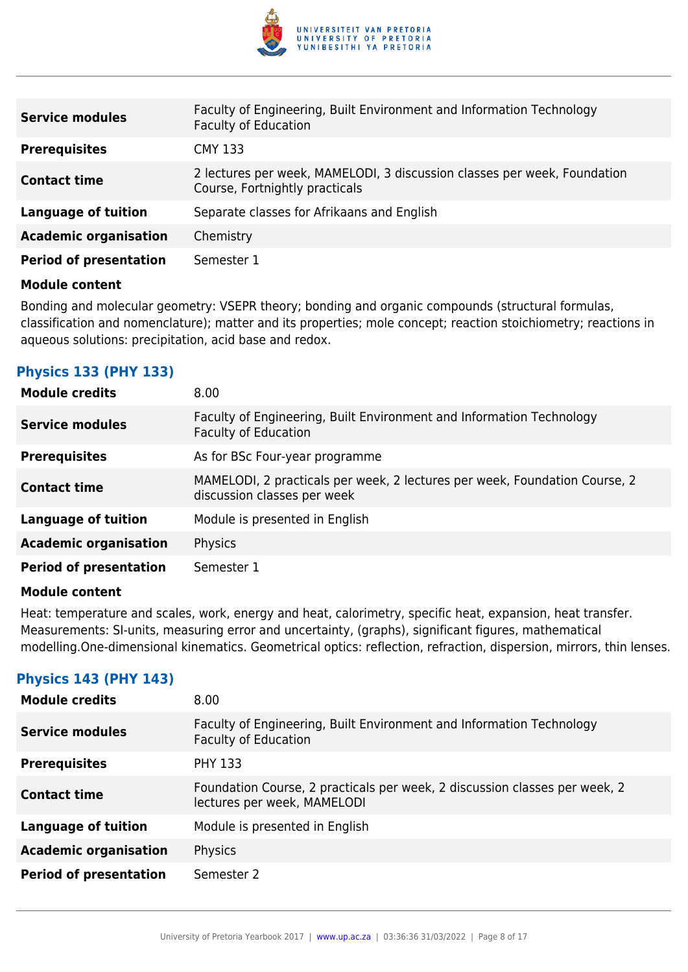

| <b>Service modules</b>        | Faculty of Engineering, Built Environment and Information Technology<br><b>Faculty of Education</b>        |
|-------------------------------|------------------------------------------------------------------------------------------------------------|
| <b>Prerequisites</b>          | <b>CMY 133</b>                                                                                             |
| <b>Contact time</b>           | 2 lectures per week, MAMELODI, 3 discussion classes per week, Foundation<br>Course, Fortnightly practicals |
| <b>Language of tuition</b>    | Separate classes for Afrikaans and English                                                                 |
| <b>Academic organisation</b>  | Chemistry                                                                                                  |
| <b>Period of presentation</b> | Semester 1                                                                                                 |

Bonding and molecular geometry: VSEPR theory; bonding and organic compounds (structural formulas, classification and nomenclature); matter and its properties; mole concept; reaction stoichiometry; reactions in aqueous solutions: precipitation, acid base and redox.

# **Physics 133 (PHY 133)**

| <b>Module credits</b>         | 8.00                                                                                                      |
|-------------------------------|-----------------------------------------------------------------------------------------------------------|
| <b>Service modules</b>        | Faculty of Engineering, Built Environment and Information Technology<br><b>Faculty of Education</b>       |
| <b>Prerequisites</b>          | As for BSc Four-year programme                                                                            |
| <b>Contact time</b>           | MAMELODI, 2 practicals per week, 2 lectures per week, Foundation Course, 2<br>discussion classes per week |
| Language of tuition           | Module is presented in English                                                                            |
| <b>Academic organisation</b>  | Physics                                                                                                   |
| <b>Period of presentation</b> | Semester 1                                                                                                |

#### **Module content**

Heat: temperature and scales, work, energy and heat, calorimetry, specific heat, expansion, heat transfer. Measurements: SI-units, measuring error and uncertainty, (graphs), significant figures, mathematical modelling.One-dimensional kinematics. Geometrical optics: reflection, refraction, dispersion, mirrors, thin lenses.

# **Physics 143 (PHY 143)**

| <b>Module credits</b>         | 8.00                                                                                                      |
|-------------------------------|-----------------------------------------------------------------------------------------------------------|
| <b>Service modules</b>        | Faculty of Engineering, Built Environment and Information Technology<br><b>Faculty of Education</b>       |
| <b>Prerequisites</b>          | <b>PHY 133</b>                                                                                            |
| <b>Contact time</b>           | Foundation Course, 2 practicals per week, 2 discussion classes per week, 2<br>lectures per week, MAMELODI |
| Language of tuition           | Module is presented in English                                                                            |
| <b>Academic organisation</b>  | Physics                                                                                                   |
| <b>Period of presentation</b> | Semester 2                                                                                                |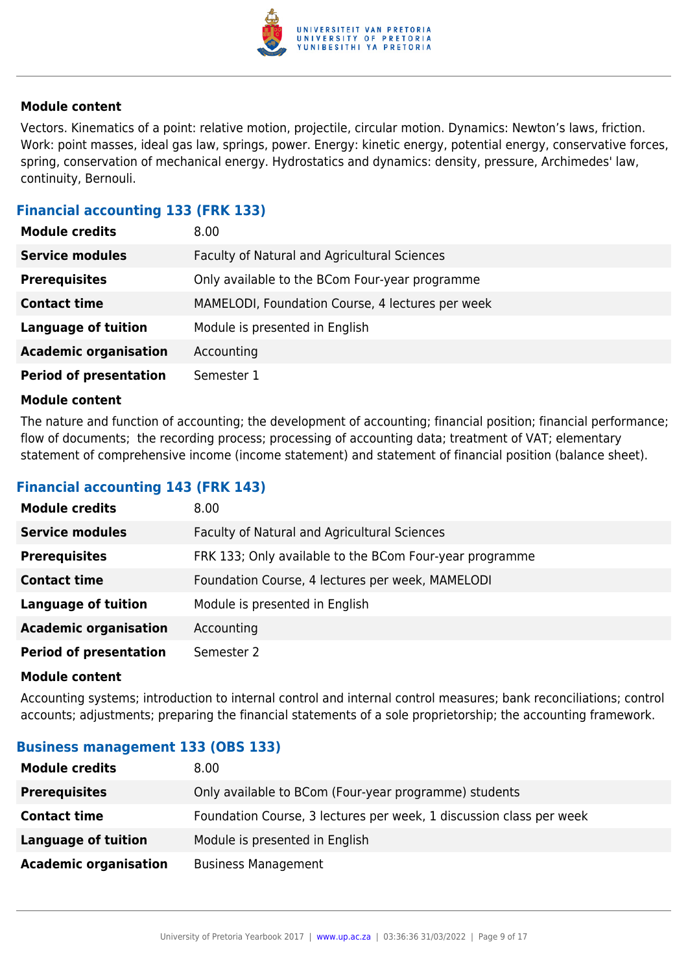

Vectors. Kinematics of a point: relative motion, projectile, circular motion. Dynamics: Newton's laws, friction. Work: point masses, ideal gas law, springs, power. Energy: kinetic energy, potential energy, conservative forces, spring, conservation of mechanical energy. Hydrostatics and dynamics: density, pressure, Archimedes' law, continuity, Bernouli.

### **Financial accounting 133 (FRK 133)**

| <b>Module credits</b>         | 8.00                                             |
|-------------------------------|--------------------------------------------------|
| <b>Service modules</b>        | Faculty of Natural and Agricultural Sciences     |
| <b>Prerequisites</b>          | Only available to the BCom Four-year programme   |
| <b>Contact time</b>           | MAMELODI, Foundation Course, 4 lectures per week |
| <b>Language of tuition</b>    | Module is presented in English                   |
| <b>Academic organisation</b>  | Accounting                                       |
| <b>Period of presentation</b> | Semester 1                                       |

#### **Module content**

The nature and function of accounting; the development of accounting; financial position; financial performance; flow of documents; the recording process; processing of accounting data; treatment of VAT; elementary statement of comprehensive income (income statement) and statement of financial position (balance sheet).

## **Financial accounting 143 (FRK 143)**

| <b>Module credits</b>         | 8.00                                                    |
|-------------------------------|---------------------------------------------------------|
| <b>Service modules</b>        | Faculty of Natural and Agricultural Sciences            |
| <b>Prerequisites</b>          | FRK 133; Only available to the BCom Four-year programme |
| <b>Contact time</b>           | Foundation Course, 4 lectures per week, MAMELODI        |
| <b>Language of tuition</b>    | Module is presented in English                          |
| <b>Academic organisation</b>  | Accounting                                              |
| <b>Period of presentation</b> | Semester 2                                              |

#### **Module content**

Accounting systems; introduction to internal control and internal control measures; bank reconciliations; control accounts; adjustments; preparing the financial statements of a sole proprietorship; the accounting framework.

#### **Business management 133 (OBS 133)**

| <b>Module credits</b>        | 8.00                                                                |
|------------------------------|---------------------------------------------------------------------|
| <b>Prerequisites</b>         | Only available to BCom (Four-year programme) students               |
| <b>Contact time</b>          | Foundation Course, 3 lectures per week, 1 discussion class per week |
| <b>Language of tuition</b>   | Module is presented in English                                      |
| <b>Academic organisation</b> | <b>Business Management</b>                                          |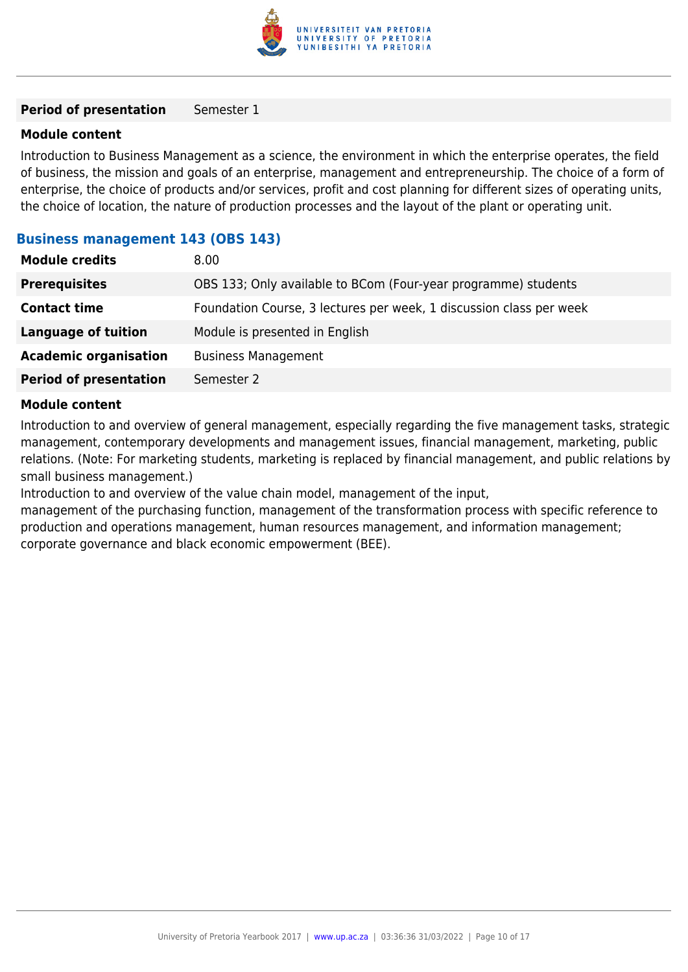

#### **Period of presentation** Semester 1

#### **Module content**

Introduction to Business Management as a science, the environment in which the enterprise operates, the field of business, the mission and goals of an enterprise, management and entrepreneurship. The choice of a form of enterprise, the choice of products and/or services, profit and cost planning for different sizes of operating units, the choice of location, the nature of production processes and the layout of the plant or operating unit.

#### **Business management 143 (OBS 143)**

| <b>Module credits</b>         | 8.00                                                                |
|-------------------------------|---------------------------------------------------------------------|
| <b>Prerequisites</b>          | OBS 133; Only available to BCom (Four-year programme) students      |
| <b>Contact time</b>           | Foundation Course, 3 lectures per week, 1 discussion class per week |
| <b>Language of tuition</b>    | Module is presented in English                                      |
| <b>Academic organisation</b>  | <b>Business Management</b>                                          |
| <b>Period of presentation</b> | Semester 2                                                          |
|                               |                                                                     |

#### **Module content**

Introduction to and overview of general management, especially regarding the five management tasks, strategic management, contemporary developments and management issues, financial management, marketing, public relations. (Note: For marketing students, marketing is replaced by financial management, and public relations by small business management.)

Introduction to and overview of the value chain model, management of the input,

management of the purchasing function, management of the transformation process with specific reference to production and operations management, human resources management, and information management; corporate governance and black economic empowerment (BEE).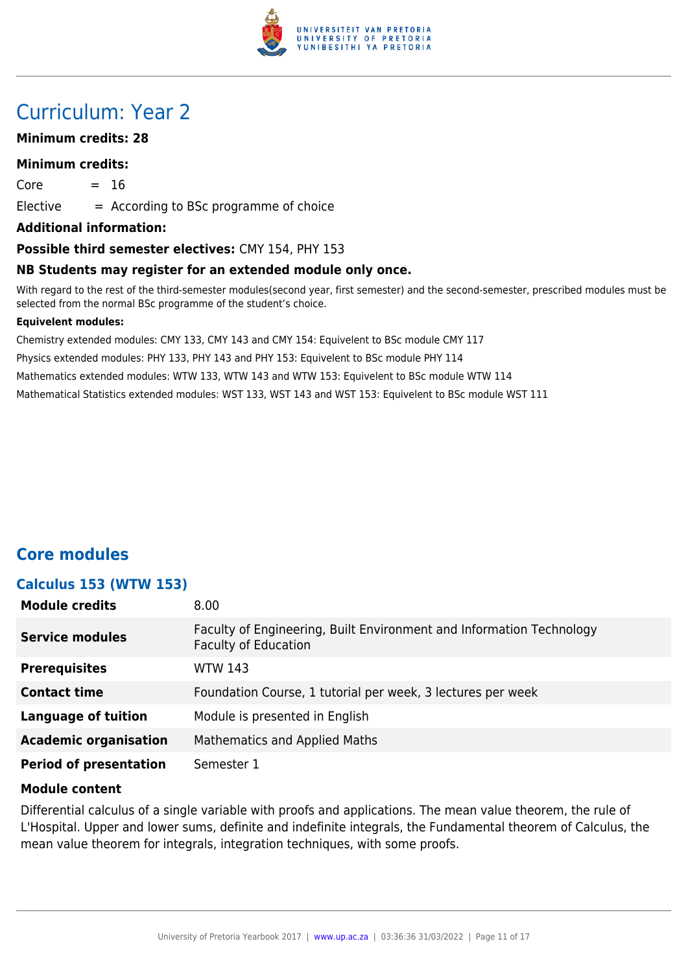

# Curriculum: Year 2

#### **Minimum credits: 28**

#### **Minimum credits:**

 $Core = 16$ 

 $E$ lective  $=$  According to BSc programme of choice

**Additional information:**

#### **Possible third semester electives:** CMY 154, PHY 153

#### **NB Students may register for an extended module only once.**

With regard to the rest of the third-semester modules(second year, first semester) and the second-semester, prescribed modules must be selected from the normal BSc programme of the student's choice.

#### **Equivelent modules:**

Chemistry extended modules: CMY 133, CMY 143 and CMY 154: Equivelent to BSc module CMY 117 Physics extended modules: PHY 133, PHY 143 and PHY 153: Equivelent to BSc module PHY 114 Mathematics extended modules: WTW 133, WTW 143 and WTW 153: Equivelent to BSc module WTW 114 Mathematical Statistics extended modules: WST 133, WST 143 and WST 153: Equivelent to BSc module WST 111

# **Core modules**

#### **Calculus 153 (WTW 153)**

| <b>Module credits</b>         | 8.00                                                                                                |
|-------------------------------|-----------------------------------------------------------------------------------------------------|
| <b>Service modules</b>        | Faculty of Engineering, Built Environment and Information Technology<br><b>Faculty of Education</b> |
| <b>Prerequisites</b>          | <b>WTW 143</b>                                                                                      |
| <b>Contact time</b>           | Foundation Course, 1 tutorial per week, 3 lectures per week                                         |
| <b>Language of tuition</b>    | Module is presented in English                                                                      |
| <b>Academic organisation</b>  | Mathematics and Applied Maths                                                                       |
| <b>Period of presentation</b> | Semester 1                                                                                          |

#### **Module content**

Differential calculus of a single variable with proofs and applications. The mean value theorem, the rule of L'Hospital. Upper and lower sums, definite and indefinite integrals, the Fundamental theorem of Calculus, the mean value theorem for integrals, integration techniques, with some proofs.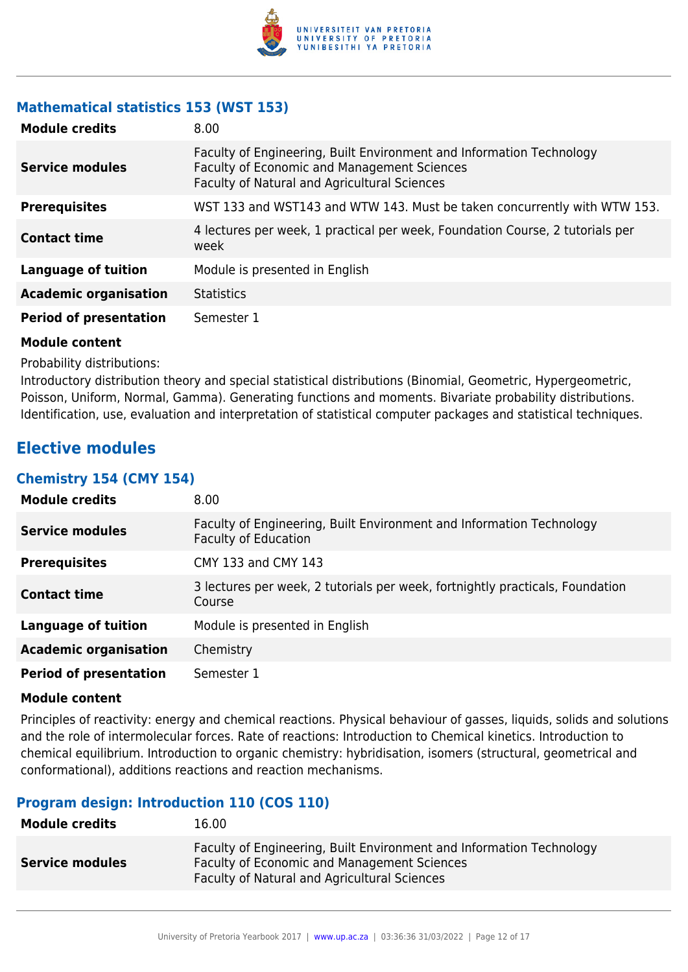

# **Mathematical statistics 153 (WST 153)**

| <b>Module credits</b>         | 8.00                                                                                                                                                                       |
|-------------------------------|----------------------------------------------------------------------------------------------------------------------------------------------------------------------------|
| <b>Service modules</b>        | Faculty of Engineering, Built Environment and Information Technology<br>Faculty of Economic and Management Sciences<br><b>Faculty of Natural and Agricultural Sciences</b> |
| <b>Prerequisites</b>          | WST 133 and WST143 and WTW 143. Must be taken concurrently with WTW 153.                                                                                                   |
| <b>Contact time</b>           | 4 lectures per week, 1 practical per week, Foundation Course, 2 tutorials per<br>week                                                                                      |
| Language of tuition           | Module is presented in English                                                                                                                                             |
| <b>Academic organisation</b>  | <b>Statistics</b>                                                                                                                                                          |
| <b>Period of presentation</b> | Semester 1                                                                                                                                                                 |

#### **Module content**

Probability distributions:

Introductory distribution theory and special statistical distributions (Binomial, Geometric, Hypergeometric, Poisson, Uniform, Normal, Gamma). Generating functions and moments. Bivariate probability distributions. Identification, use, evaluation and interpretation of statistical computer packages and statistical techniques.

# **Elective modules**

#### **Chemistry 154 (CMY 154)**

| <b>Module credits</b>         | 8.00                                                                                                |
|-------------------------------|-----------------------------------------------------------------------------------------------------|
| <b>Service modules</b>        | Faculty of Engineering, Built Environment and Information Technology<br><b>Faculty of Education</b> |
| <b>Prerequisites</b>          | CMY 133 and CMY 143                                                                                 |
| <b>Contact time</b>           | 3 lectures per week, 2 tutorials per week, fortnightly practicals, Foundation<br>Course             |
| <b>Language of tuition</b>    | Module is presented in English                                                                      |
| <b>Academic organisation</b>  | Chemistry                                                                                           |
| <b>Period of presentation</b> | Semester 1                                                                                          |

#### **Module content**

Principles of reactivity: energy and chemical reactions. Physical behaviour of gasses, liquids, solids and solutions and the role of intermolecular forces. Rate of reactions: Introduction to Chemical kinetics. Introduction to chemical equilibrium. Introduction to organic chemistry: hybridisation, isomers (structural, geometrical and conformational), additions reactions and reaction mechanisms.

# **Program design: Introduction 110 (COS 110)**

| <b>Module credits</b>  | 16.00                                                                                                                                                                      |
|------------------------|----------------------------------------------------------------------------------------------------------------------------------------------------------------------------|
| <b>Service modules</b> | Faculty of Engineering, Built Environment and Information Technology<br>Faculty of Economic and Management Sciences<br><b>Faculty of Natural and Agricultural Sciences</b> |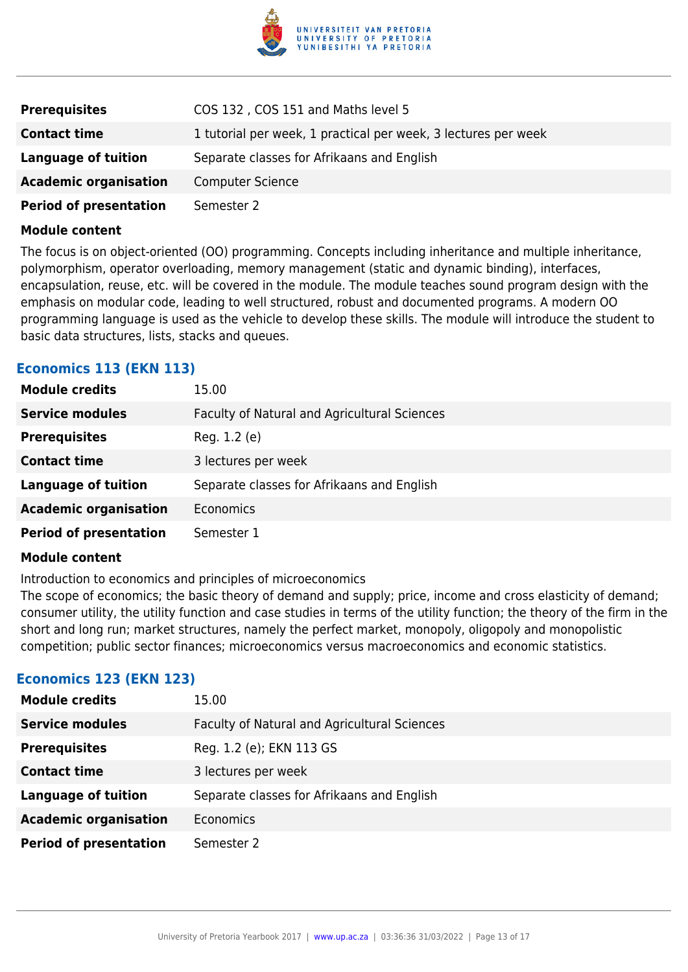

| <b>Prerequisites</b>          | COS 132, COS 151 and Maths level 5                             |
|-------------------------------|----------------------------------------------------------------|
| <b>Contact time</b>           | 1 tutorial per week, 1 practical per week, 3 lectures per week |
| Language of tuition           | Separate classes for Afrikaans and English                     |
| <b>Academic organisation</b>  | <b>Computer Science</b>                                        |
| <b>Period of presentation</b> | Semester 2                                                     |

The focus is on object-oriented (OO) programming. Concepts including inheritance and multiple inheritance, polymorphism, operator overloading, memory management (static and dynamic binding), interfaces, encapsulation, reuse, etc. will be covered in the module. The module teaches sound program design with the emphasis on modular code, leading to well structured, robust and documented programs. A modern OO programming language is used as the vehicle to develop these skills. The module will introduce the student to basic data structures, lists, stacks and queues.

### **Economics 113 (EKN 113)**

| <b>Module credits</b>         | 15.00                                        |
|-------------------------------|----------------------------------------------|
| <b>Service modules</b>        | Faculty of Natural and Agricultural Sciences |
| <b>Prerequisites</b>          | Reg. 1.2 (e)                                 |
| <b>Contact time</b>           | 3 lectures per week                          |
| <b>Language of tuition</b>    | Separate classes for Afrikaans and English   |
| <b>Academic organisation</b>  | Economics                                    |
| <b>Period of presentation</b> | Semester 1                                   |

#### **Module content**

Introduction to economics and principles of microeconomics

The scope of economics; the basic theory of demand and supply; price, income and cross elasticity of demand; consumer utility, the utility function and case studies in terms of the utility function; the theory of the firm in the short and long run; market structures, namely the perfect market, monopoly, oligopoly and monopolistic competition; public sector finances; microeconomics versus macroeconomics and economic statistics.

#### **Economics 123 (EKN 123)**

| <b>Module credits</b>         | 15.00                                        |
|-------------------------------|----------------------------------------------|
| <b>Service modules</b>        | Faculty of Natural and Agricultural Sciences |
| <b>Prerequisites</b>          | Reg. 1.2 (e); EKN 113 GS                     |
| <b>Contact time</b>           | 3 lectures per week                          |
| <b>Language of tuition</b>    | Separate classes for Afrikaans and English   |
| <b>Academic organisation</b>  | Economics                                    |
| <b>Period of presentation</b> | Semester 2                                   |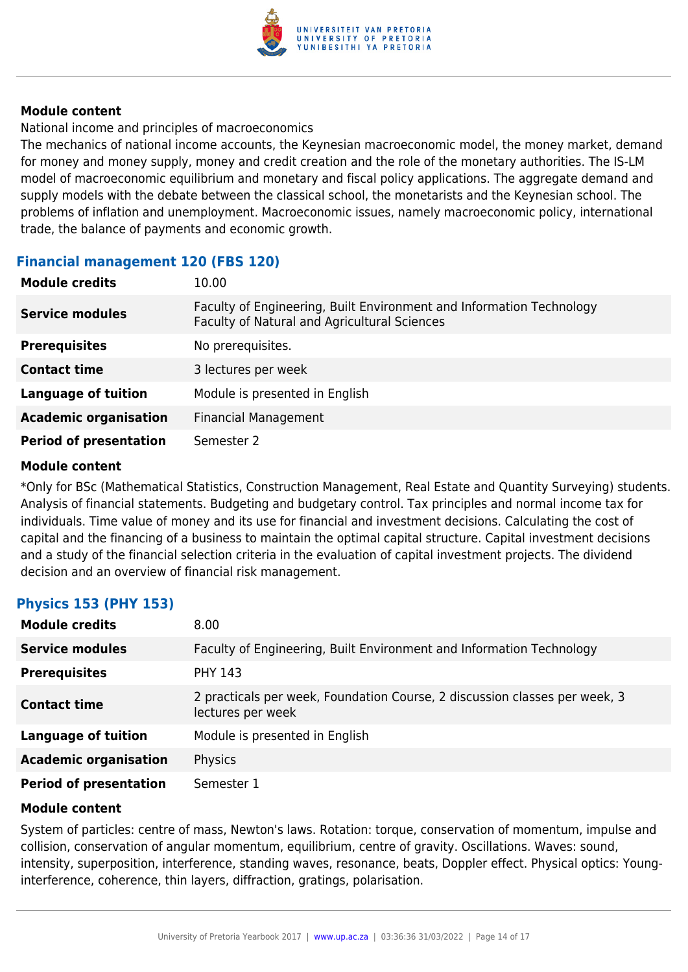

National income and principles of macroeconomics

The mechanics of national income accounts, the Keynesian macroeconomic model, the money market, demand for money and money supply, money and credit creation and the role of the monetary authorities. The IS-LM model of macroeconomic equilibrium and monetary and fiscal policy applications. The aggregate demand and supply models with the debate between the classical school, the monetarists and the Keynesian school. The problems of inflation and unemployment. Macroeconomic issues, namely macroeconomic policy, international trade, the balance of payments and economic growth.

# **Financial management 120 (FBS 120)**

| <b>Module credits</b>         | 10.00                                                                                                                |
|-------------------------------|----------------------------------------------------------------------------------------------------------------------|
| <b>Service modules</b>        | Faculty of Engineering, Built Environment and Information Technology<br>Faculty of Natural and Agricultural Sciences |
| <b>Prerequisites</b>          | No prerequisites.                                                                                                    |
| <b>Contact time</b>           | 3 lectures per week                                                                                                  |
| <b>Language of tuition</b>    | Module is presented in English                                                                                       |
| <b>Academic organisation</b>  | <b>Financial Management</b>                                                                                          |
| <b>Period of presentation</b> | Semester 2                                                                                                           |

#### **Module content**

\*Only for BSc (Mathematical Statistics, Construction Management, Real Estate and Quantity Surveying) students. Analysis of financial statements. Budgeting and budgetary control. Tax principles and normal income tax for individuals. Time value of money and its use for financial and investment decisions. Calculating the cost of capital and the financing of a business to maintain the optimal capital structure. Capital investment decisions and a study of the financial selection criteria in the evaluation of capital investment projects. The dividend decision and an overview of financial risk management.

#### **Physics 153 (PHY 153)**

| <b>Module credits</b>         | 8.00                                                                                            |
|-------------------------------|-------------------------------------------------------------------------------------------------|
| <b>Service modules</b>        | Faculty of Engineering, Built Environment and Information Technology                            |
| <b>Prerequisites</b>          | <b>PHY 143</b>                                                                                  |
| <b>Contact time</b>           | 2 practicals per week, Foundation Course, 2 discussion classes per week, 3<br>lectures per week |
| <b>Language of tuition</b>    | Module is presented in English                                                                  |
| <b>Academic organisation</b>  | Physics                                                                                         |
| <b>Period of presentation</b> | Semester 1                                                                                      |

#### **Module content**

System of particles: centre of mass, Newton's laws. Rotation: torque, conservation of momentum, impulse and collision, conservation of angular momentum, equilibrium, centre of gravity. Oscillations. Waves: sound, intensity, superposition, interference, standing waves, resonance, beats, Doppler effect. Physical optics: Younginterference, coherence, thin layers, diffraction, gratings, polarisation.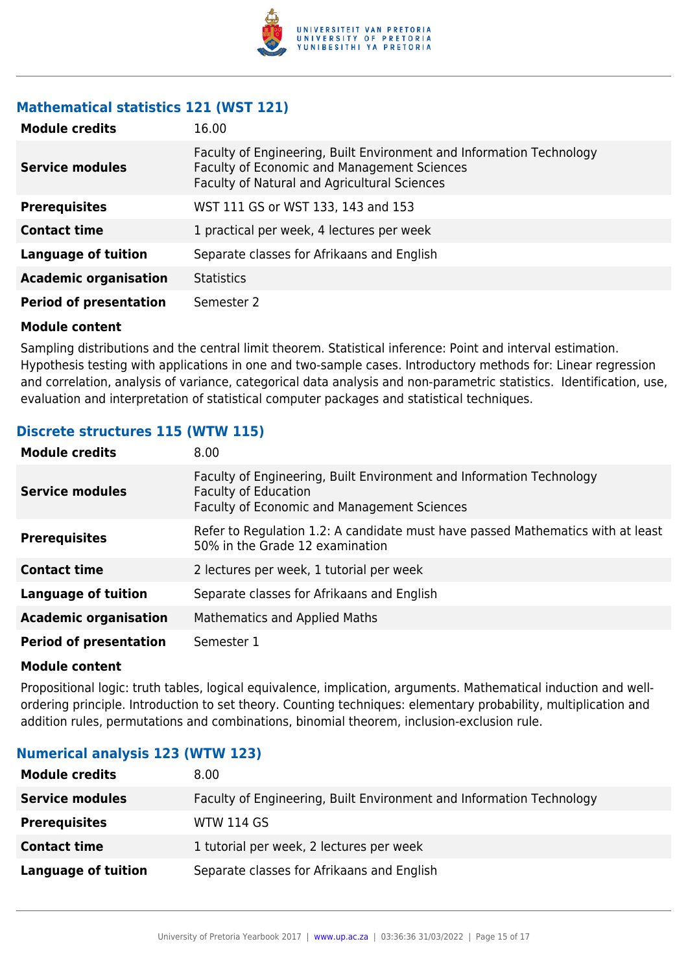

# **Mathematical statistics 121 (WST 121)**

| <b>Module credits</b>         | 16.00                                                                                                                                                               |
|-------------------------------|---------------------------------------------------------------------------------------------------------------------------------------------------------------------|
| <b>Service modules</b>        | Faculty of Engineering, Built Environment and Information Technology<br>Faculty of Economic and Management Sciences<br>Faculty of Natural and Agricultural Sciences |
| <b>Prerequisites</b>          | WST 111 GS or WST 133, 143 and 153                                                                                                                                  |
| <b>Contact time</b>           | 1 practical per week, 4 lectures per week                                                                                                                           |
| <b>Language of tuition</b>    | Separate classes for Afrikaans and English                                                                                                                          |
| <b>Academic organisation</b>  | <b>Statistics</b>                                                                                                                                                   |
| <b>Period of presentation</b> | Semester 2                                                                                                                                                          |

#### **Module content**

Sampling distributions and the central limit theorem. Statistical inference: Point and interval estimation. Hypothesis testing with applications in one and two-sample cases. Introductory methods for: Linear regression and correlation, analysis of variance, categorical data analysis and non-parametric statistics. Identification, use, evaluation and interpretation of statistical computer packages and statistical techniques.

### **Discrete structures 115 (WTW 115)**

| <b>Module credits</b>         | 8.00                                                                                                                                               |
|-------------------------------|----------------------------------------------------------------------------------------------------------------------------------------------------|
| <b>Service modules</b>        | Faculty of Engineering, Built Environment and Information Technology<br><b>Faculty of Education</b><br>Faculty of Economic and Management Sciences |
| <b>Prerequisites</b>          | Refer to Regulation 1.2: A candidate must have passed Mathematics with at least<br>50% in the Grade 12 examination                                 |
| <b>Contact time</b>           | 2 lectures per week, 1 tutorial per week                                                                                                           |
| <b>Language of tuition</b>    | Separate classes for Afrikaans and English                                                                                                         |
| <b>Academic organisation</b>  | Mathematics and Applied Maths                                                                                                                      |
| <b>Period of presentation</b> | Semester 1                                                                                                                                         |

#### **Module content**

Propositional logic: truth tables, logical equivalence, implication, arguments. Mathematical induction and wellordering principle. Introduction to set theory. Counting techniques: elementary probability, multiplication and addition rules, permutations and combinations, binomial theorem, inclusion-exclusion rule.

# **Numerical analysis 123 (WTW 123)**

| <b>Module credits</b>  | 8.00                                                                 |
|------------------------|----------------------------------------------------------------------|
| <b>Service modules</b> | Faculty of Engineering, Built Environment and Information Technology |
| <b>Prerequisites</b>   | <b>WTW 114 GS</b>                                                    |
| <b>Contact time</b>    | 1 tutorial per week, 2 lectures per week                             |
| Language of tuition    | Separate classes for Afrikaans and English                           |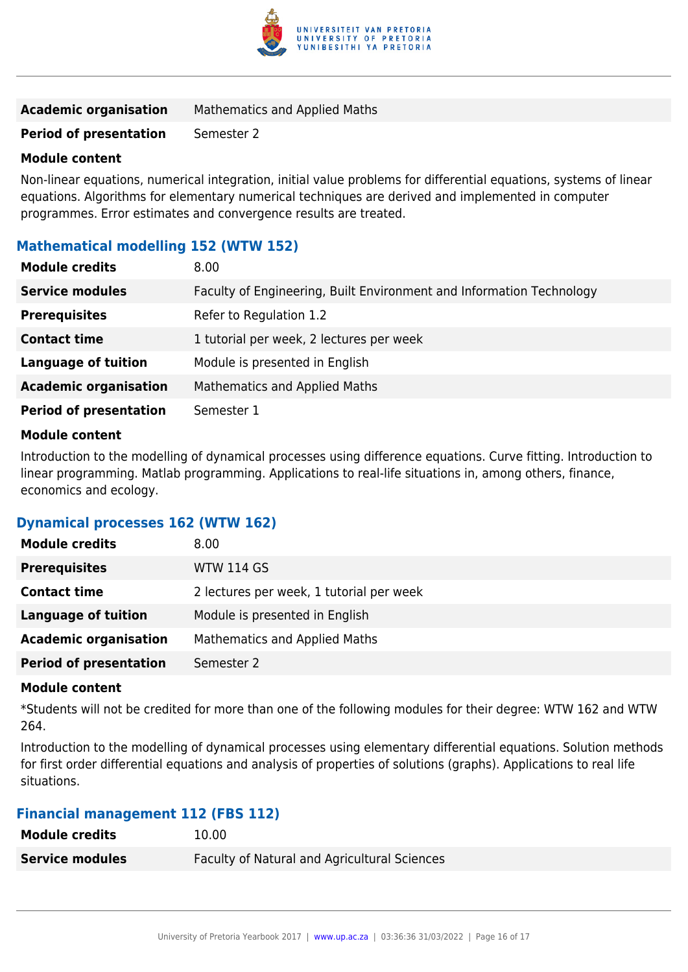

| <b>Academic organisation</b> | <b>Mathematics and Applied Maths</b> |
|------------------------------|--------------------------------------|
|------------------------------|--------------------------------------|

**Period of presentation** Semester 2

#### **Module content**

Non-linear equations, numerical integration, initial value problems for differential equations, systems of linear equations. Algorithms for elementary numerical techniques are derived and implemented in computer programmes. Error estimates and convergence results are treated.

# **Mathematical modelling 152 (WTW 152)**

| <b>Module credits</b>         | 8.00                                                                 |
|-------------------------------|----------------------------------------------------------------------|
| <b>Service modules</b>        | Faculty of Engineering, Built Environment and Information Technology |
| <b>Prerequisites</b>          | Refer to Regulation 1.2                                              |
| <b>Contact time</b>           | 1 tutorial per week, 2 lectures per week                             |
| <b>Language of tuition</b>    | Module is presented in English                                       |
| <b>Academic organisation</b>  | Mathematics and Applied Maths                                        |
| <b>Period of presentation</b> | Semester 1                                                           |

#### **Module content**

Introduction to the modelling of dynamical processes using difference equations. Curve fitting. Introduction to linear programming. Matlab programming. Applications to real-life situations in, among others, finance, economics and ecology.

#### **Dynamical processes 162 (WTW 162)**

| <b>Module credits</b>         | 8.00                                     |
|-------------------------------|------------------------------------------|
| <b>Prerequisites</b>          | <b>WTW 114 GS</b>                        |
| <b>Contact time</b>           | 2 lectures per week, 1 tutorial per week |
| <b>Language of tuition</b>    | Module is presented in English           |
| <b>Academic organisation</b>  | Mathematics and Applied Maths            |
| <b>Period of presentation</b> | Semester 2                               |

#### **Module content**

\*Students will not be credited for more than one of the following modules for their degree: WTW 162 and WTW 264.

Introduction to the modelling of dynamical processes using elementary differential equations. Solution methods for first order differential equations and analysis of properties of solutions (graphs). Applications to real life situations.

#### **Financial management 112 (FBS 112)**

| <b>Module credits</b>  | 10.00                                               |
|------------------------|-----------------------------------------------------|
| <b>Service modules</b> | <b>Faculty of Natural and Agricultural Sciences</b> |